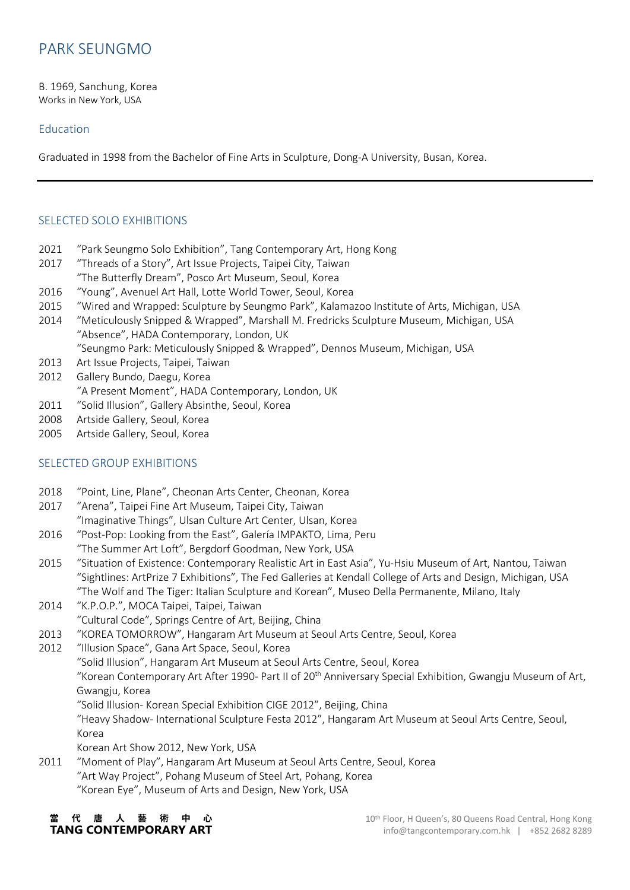# PARK SEUNGMO

B. 1969, Sanchung, Korea Works in New York, USA

#### Education

Graduated in 1998 from the Bachelor of Fine Arts in Sculpture, Dong-A University, Busan, Korea.

### SELECTED SOLO EXHIBITIONS

- 2021 "Park Seungmo Solo Exhibition", Tang Contemporary Art, Hong Kong
- 2017 "Threads of a Story", Art Issue Projects, Taipei City, Taiwan "The Butterfly Dream", Posco Art Museum, Seoul, Korea
- 2016 "Young", Avenuel Art Hall, Lotte World Tower, Seoul, Korea
- 2015 "Wired and Wrapped: Sculpture by Seungmo Park", Kalamazoo Institute of Arts, Michigan, USA
- 2014 "Meticulously Snipped & Wrapped", Marshall M. Fredricks Sculpture Museum, Michigan, USA "Absence", HADA Contemporary, London, UK

"Seungmo Park: Meticulously Snipped & Wrapped", Dennos Museum, Michigan, USA

- 2013 Art Issue Projects, Taipei, Taiwan
- 2012 Gallery Bundo, Daegu, Korea "A Present Moment", HADA Contemporary, London, UK
- 2011 "Solid Illusion", Gallery Absinthe, Seoul, Korea
- 2008 Artside Gallery, Seoul, Korea
- 2005 Artside Gallery, Seoul, Korea

#### SELECTED GROUP EXHIBITIONS

- 2018 "Point, Line, Plane", Cheonan Arts Center, Cheonan, Korea
- 2017 "Arena", Taipei Fine Art Museum, Taipei City, Taiwan "Imaginative Things", Ulsan Culture Art Center, Ulsan, Korea
- 2016 "Post-Pop: Looking from the East", Galería IMPAKTO, Lima, Peru "The Summer Art Loft", Bergdorf Goodman, New York, USA
- 2015 "Situation of Existence: Contemporary Realistic Art in East Asia", Yu-Hsiu Museum of Art, Nantou, Taiwan "Sightlines: ArtPrize 7 Exhibitions", The Fed Galleries at Kendall College of Arts and Design, Michigan, USA "The Wolf and The Tiger: Italian Sculpture and Korean", Museo Della Permanente, Milano, Italy
- 2014 "K.P.O.P.", MOCA Taipei, Taipei, Taiwan "Cultural Code", Springs Centre of Art, Beijing, China
- 2013 "KOREA TOMORROW", Hangaram Art Museum at Seoul Arts Centre, Seoul, Korea
- 2012 "Illusion Space", Gana Art Space, Seoul, Korea "Solid Illusion", Hangaram Art Museum at Seoul Arts Centre, Seoul, Korea "Korean Contemporary Art After 1990- Part II of 20<sup>th</sup> Anniversary Special Exhibition, Gwangju Museum of Art, Gwangju, Korea "Solid Illusion- Korean Special Exhibition CIGE 2012", Beijing, China "Heavy Shadow- International Sculpture Festa 2012", Hangaram Art Museum at Seoul Arts Centre, Seoul, Korea Korean Art Show 2012, New York, USA
- 2011 "Moment of Play", Hangaram Art Museum at Seoul Arts Centre, Seoul, Korea "Art Way Project", Pohang Museum of Steel Art, Pohang, Korea "Korean Eye", Museum of Arts and Design, New York, USA

代唐人藝術中心 **TANG CONTEMPORARY ART**